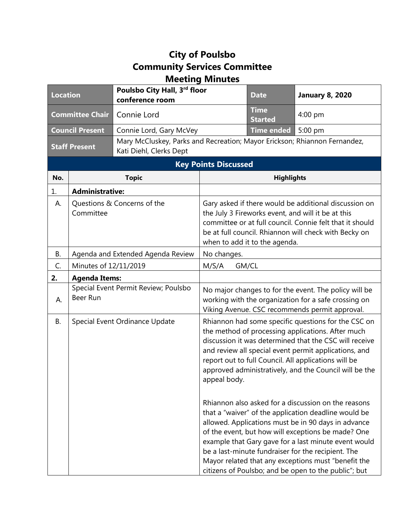## **City of Poulsbo Community Services Committee Meeting Minutes**

| <b>Location</b>             |                                          | Poulsbo City Hall, 3rd floor<br>conference room                                                      |                                                                                                                                                                                                                                                                   | <b>Date</b>                   | <b>January 8, 2020</b>                                                                                                                                                                                                                                                                                                                                                                                                                                                                                                                                                                                                                                                                                                                         |
|-----------------------------|------------------------------------------|------------------------------------------------------------------------------------------------------|-------------------------------------------------------------------------------------------------------------------------------------------------------------------------------------------------------------------------------------------------------------------|-------------------------------|------------------------------------------------------------------------------------------------------------------------------------------------------------------------------------------------------------------------------------------------------------------------------------------------------------------------------------------------------------------------------------------------------------------------------------------------------------------------------------------------------------------------------------------------------------------------------------------------------------------------------------------------------------------------------------------------------------------------------------------------|
| <b>Committee Chair</b>      |                                          | Connie Lord                                                                                          |                                                                                                                                                                                                                                                                   | <b>Time</b><br><b>Started</b> | $4:00$ pm                                                                                                                                                                                                                                                                                                                                                                                                                                                                                                                                                                                                                                                                                                                                      |
| <b>Council Present</b>      |                                          | Connie Lord, Gary McVey                                                                              |                                                                                                                                                                                                                                                                   | <b>Time ended</b>             | 5:00 pm                                                                                                                                                                                                                                                                                                                                                                                                                                                                                                                                                                                                                                                                                                                                        |
| <b>Staff Present</b>        |                                          | Mary McCluskey, Parks and Recreation; Mayor Erickson; Rhiannon Fernandez,<br>Kati Diehl, Clerks Dept |                                                                                                                                                                                                                                                                   |                               |                                                                                                                                                                                                                                                                                                                                                                                                                                                                                                                                                                                                                                                                                                                                                |
| <b>Key Points Discussed</b> |                                          |                                                                                                      |                                                                                                                                                                                                                                                                   |                               |                                                                                                                                                                                                                                                                                                                                                                                                                                                                                                                                                                                                                                                                                                                                                |
| No.                         |                                          | <b>Topic</b>                                                                                         |                                                                                                                                                                                                                                                                   | <b>Highlights</b>             |                                                                                                                                                                                                                                                                                                                                                                                                                                                                                                                                                                                                                                                                                                                                                |
| 1.                          | <b>Administrative:</b>                   |                                                                                                      |                                                                                                                                                                                                                                                                   |                               |                                                                                                                                                                                                                                                                                                                                                                                                                                                                                                                                                                                                                                                                                                                                                |
| А.                          | Questions & Concerns of the<br>Committee |                                                                                                      | Gary asked if there would be additional discussion on<br>the July 3 Fireworks event, and will it be at this<br>committee or at full council. Connie felt that it should<br>be at full council. Rhiannon will check with Becky on<br>when to add it to the agenda. |                               |                                                                                                                                                                                                                                                                                                                                                                                                                                                                                                                                                                                                                                                                                                                                                |
| В.                          | Agenda and Extended Agenda Review        |                                                                                                      | No changes.                                                                                                                                                                                                                                                       |                               |                                                                                                                                                                                                                                                                                                                                                                                                                                                                                                                                                                                                                                                                                                                                                |
| C.                          | Minutes of 12/11/2019                    |                                                                                                      | GM/CL<br>M/S/A                                                                                                                                                                                                                                                    |                               |                                                                                                                                                                                                                                                                                                                                                                                                                                                                                                                                                                                                                                                                                                                                                |
| 2.                          | <b>Agenda Items:</b>                     |                                                                                                      |                                                                                                                                                                                                                                                                   |                               |                                                                                                                                                                                                                                                                                                                                                                                                                                                                                                                                                                                                                                                                                                                                                |
| А.                          | Beer Run                                 | Special Event Permit Review; Poulsbo                                                                 |                                                                                                                                                                                                                                                                   |                               | No major changes to for the event. The policy will be<br>working with the organization for a safe crossing on<br>Viking Avenue. CSC recommends permit approval.                                                                                                                                                                                                                                                                                                                                                                                                                                                                                                                                                                                |
| <b>B.</b>                   |                                          | Special Event Ordinance Update                                                                       | appeal body.                                                                                                                                                                                                                                                      |                               | Rhiannon had some specific questions for the CSC on<br>the method of processing applications. After much<br>discussion it was determined that the CSC will receive<br>and review all special event permit applications, and<br>report out to full Council. All applications will be<br>approved administratively, and the Council will be the<br>Rhiannon also asked for a discussion on the reasons<br>that a "waiver" of the application deadline would be<br>allowed. Applications must be in 90 days in advance<br>of the event, but how will exceptions be made? One<br>example that Gary gave for a last minute event would<br>be a last-minute fundraiser for the recipient. The<br>Mayor related that any exceptions must "benefit the |
|                             |                                          |                                                                                                      |                                                                                                                                                                                                                                                                   |                               | citizens of Poulsbo; and be open to the public"; but                                                                                                                                                                                                                                                                                                                                                                                                                                                                                                                                                                                                                                                                                           |